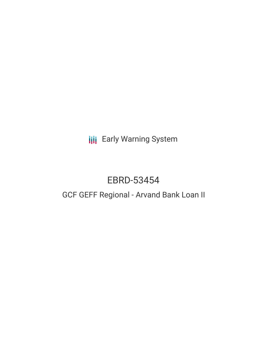**III** Early Warning System

# EBRD-53454

## GCF GEFF Regional - Arvand Bank Loan II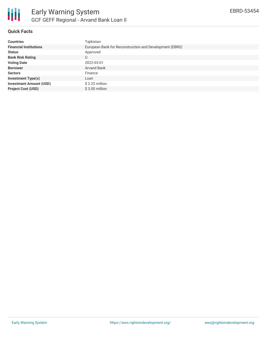

#### **Quick Facts**

| <b>Countries</b>               | Tajikistan                                              |
|--------------------------------|---------------------------------------------------------|
| <b>Financial Institutions</b>  | European Bank for Reconstruction and Development (EBRD) |
| <b>Status</b>                  | Approved                                                |
| <b>Bank Risk Rating</b>        | U                                                       |
| <b>Voting Date</b>             | 2022-03-01                                              |
| <b>Borrower</b>                | <b>Arvand Bank</b>                                      |
| <b>Sectors</b>                 | Finance                                                 |
| <b>Investment Type(s)</b>      | Loan                                                    |
| <b>Investment Amount (USD)</b> | $$2.25$ million                                         |
| <b>Project Cost (USD)</b>      | $$3.00$ million                                         |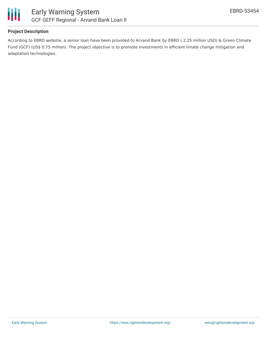

#### **Project Description**

According to EBRD website, a senior loan have been provided to Arvand Bank by EBRD ( 2.25 million USD) & Green Climate Fund (GCF) (US\$ 0.75 million). The project objective is to promote investments in efficient limate change mitigation and adaptation technologies.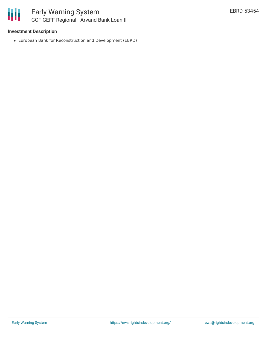#### **Investment Description**

European Bank for Reconstruction and Development (EBRD)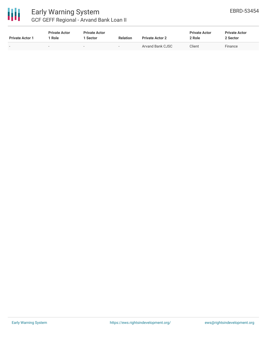

### Early Warning System GCF GEFF Regional - Arvand Bank Loan II

| <b>Private Actor 1</b> | <b>Private Actor</b><br>1 Role | <b>Private Actor</b><br><b>Sector</b> | <b>Relation</b>          | <b>Private Actor 2</b> | <b>Private Actor</b><br>2 Role | <b>Private Actor</b><br>2 Sector |
|------------------------|--------------------------------|---------------------------------------|--------------------------|------------------------|--------------------------------|----------------------------------|
| $\sim$                 | $\overline{\phantom{a}}$       |                                       | $\overline{\phantom{a}}$ | Arvand Bank CJSC       | Client                         | Finance                          |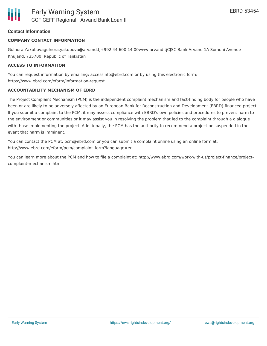#### **Contact Information**

#### **COMPANY CONTACT INFORMATION**

Gulnora Yakubovagulnora.yakubova@arvand.tj+992 44 600 14 00www.arvand.tjCJSC Bank Arvand 1A Somoni Avenue Khujand, 735700, Republic of Tajikistan

#### **ACCESS TO INFORMATION**

You can request information by emailing: accessinfo@ebrd.com or by using this electronic form: https://www.ebrd.com/eform/information-request

#### **ACCOUNTABILITY MECHANISM OF EBRD**

The Project Complaint Mechanism (PCM) is the independent complaint mechanism and fact-finding body for people who have been or are likely to be adversely affected by an European Bank for Reconstruction and Development (EBRD)-financed project. If you submit a complaint to the PCM, it may assess compliance with EBRD's own policies and procedures to prevent harm to the environment or communities or it may assist you in resolving the problem that led to the complaint through a dialogue with those implementing the project. Additionally, the PCM has the authority to recommend a project be suspended in the event that harm is imminent.

You can contact the PCM at: pcm@ebrd.com or you can submit a complaint online using an online form at: http://www.ebrd.com/eform/pcm/complaint\_form?language=en

You can learn more about the PCM and how to file a complaint at: http://www.ebrd.com/work-with-us/project-finance/projectcomplaint-mechanism.html